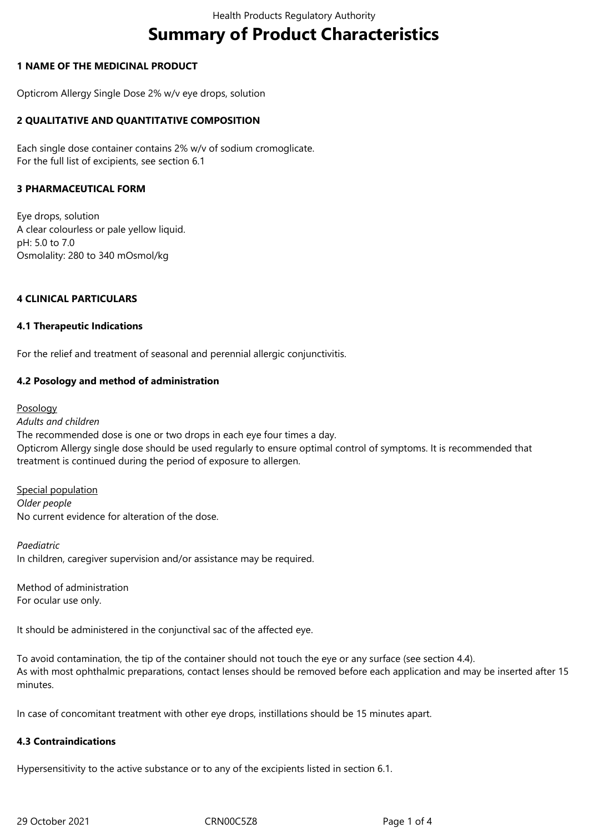# **Summary of Product Characteristics**

# **1 NAME OF THE MEDICINAL PRODUCT**

Opticrom Allergy Single Dose 2% w/v eye drops, solution

# **2 QUALITATIVE AND QUANTITATIVE COMPOSITION**

Each single dose container contains 2% w/v of sodium cromoglicate. For the full list of excipients, see section 6.1

## **3 PHARMACEUTICAL FORM**

Eye drops, solution A clear colourless or pale yellow liquid. pH: 5.0 to 7.0 Osmolality: 280 to 340 mOsmol/kg

# **4 CLINICAL PARTICULARS**

## **4.1 Therapeutic Indications**

For the relief and treatment of seasonal and perennial allergic conjunctivitis.

# **4.2 Posology and method of administration**

Posology

*Adults and children* The recommended dose is one or two drops in each eye four times a day. Opticrom Allergy single dose should be used regularly to ensure optimal control of symptoms. It is recommended that treatment is continued during the period of exposure to allergen.

Special population *Older people* No current evidence for alteration of the dose.

*Paediatric* In children, caregiver supervision and/or assistance may be required.

Method of administration For ocular use only.

It should be administered in the conjunctival sac of the affected eye.

To avoid contamination, the tip of the container should not touch the eye or any surface (see section 4.4). As with most ophthalmic preparations, contact lenses should be removed before each application and may be inserted after 15 minutes.

In case of concomitant treatment with other eye drops, instillations should be 15 minutes apart.

## **4.3 Contraindications**

Hypersensitivity to the active substance or to any of the excipients listed in section 6.1.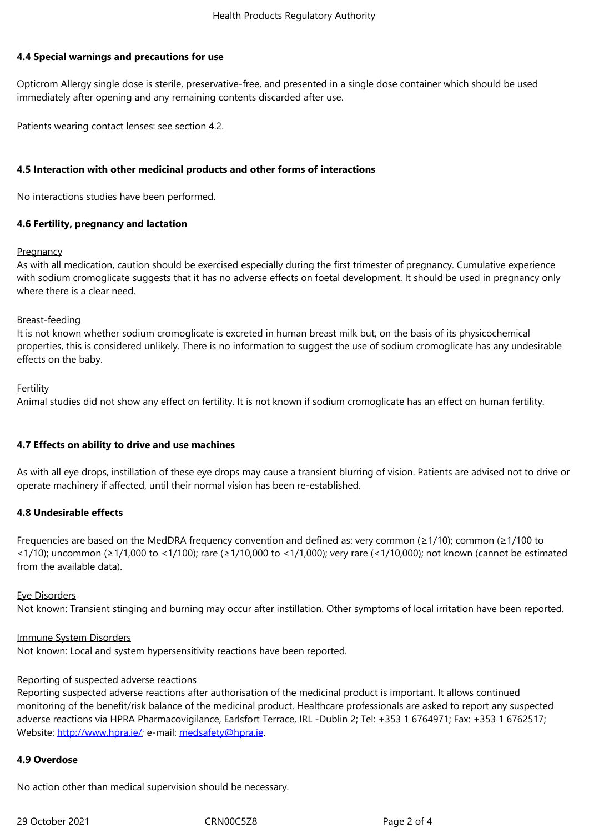#### **4.4 Special warnings and precautions for use**

Opticrom Allergy single dose is sterile, preservative-free, and presented in a single dose container which should be used immediately after opening and any remaining contents discarded after use.

Patients wearing contact lenses: see section 4.2.

# **4.5 Interaction with other medicinal products and other forms of interactions**

No interactions studies have been performed.

# **4.6 Fertility, pregnancy and lactation**

## **Pregnancy**

As with all medication, caution should be exercised especially during the first trimester of pregnancy. Cumulative experience with sodium cromoglicate suggests that it has no adverse effects on foetal development. It should be used in pregnancy only where there is a clear need.

# Breast-feeding

It is not known whether sodium cromoglicate is excreted in human breast milk but, on the basis of its physicochemical properties, this is considered unlikely. There is no information to suggest the use of sodium cromoglicate has any undesirable effects on the baby.

# **Fertility**

Animal studies did not show any effect on fertility. It is not known if sodium cromoglicate has an effect on human fertility.

# **4.7 Effects on ability to drive and use machines**

As with all eye drops, instillation of these eye drops may cause a transient blurring of vision. Patients are advised not to drive or operate machinery if affected, until their normal vision has been re-established.

# **4.8 Undesirable effects**

Frequencies are based on the MedDRA frequency convention and defined as: very common (≥1/10); common (≥1/100 to <1/10); uncommon (≥1/1,000 to <1/100); rare (≥1/10,000 to <1/1,000); very rare (<1/10,000); not known (cannot be estimated from the available data).

## Eye Disorders

Not known: Transient stinging and burning may occur after instillation. Other symptoms of local irritation have been reported.

## Immune System Disorders

Not known: Local and system hypersensitivity reactions have been reported.

## Reporting of suspected adverse reactions

Reporting suspected adverse reactions after authorisation of the medicinal product is important. It allows continued monitoring of the benefit/risk balance of the medicinal product. Healthcare professionals are asked to report any suspected adverse reactions via HPRA Pharmacovigilance, Earlsfort Terrace, IRL -Dublin 2; Tel: +353 1 6764971; Fax: +353 1 6762517; Website: http://www.hpra.ie/; e-mail: medsafety@hpra.ie.

# **4.9 Overdose**

No actio[n other than medical](http://www.hpra.ie/) supervi[sion should be nece](mailto:medsafety@hpra.ie)ssary.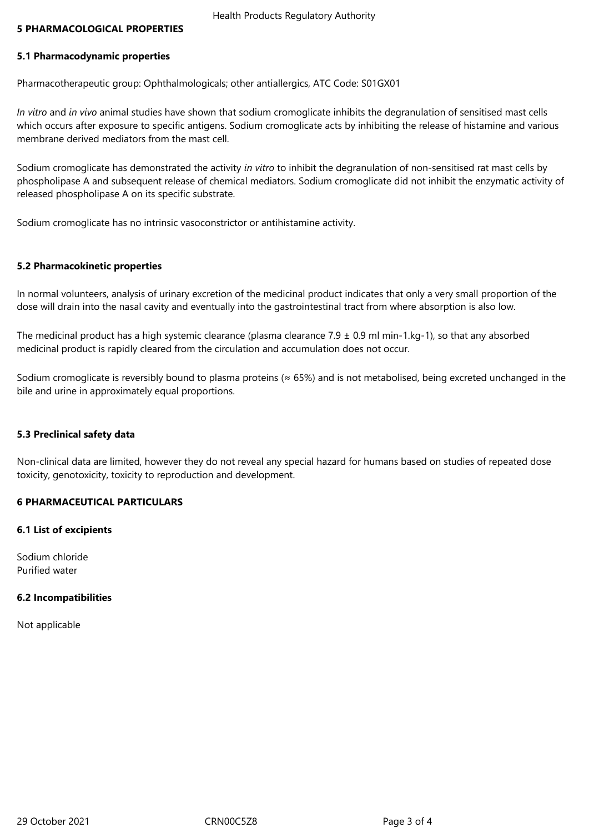#### **5 PHARMACOLOGICAL PROPERTIES**

#### **5.1 Pharmacodynamic properties**

Pharmacotherapeutic group: Ophthalmologicals; other antiallergics, ATC Code: S01GX01

*In vitro* and *in vivo* animal studies have shown that sodium cromoglicate inhibits the degranulation of sensitised mast cells which occurs after exposure to specific antigens. Sodium cromoglicate acts by inhibiting the release of histamine and various membrane derived mediators from the mast cell.

Sodium cromoglicate has demonstrated the activity *in vitro* to inhibit the degranulation of non-sensitised rat mast cells by phospholipase A and subsequent release of chemical mediators. Sodium cromoglicate did not inhibit the enzymatic activity of released phospholipase A on its specific substrate.

Sodium cromoglicate has no intrinsic vasoconstrictor or antihistamine activity.

#### **5.2 Pharmacokinetic properties**

In normal volunteers, analysis of urinary excretion of the medicinal product indicates that only a very small proportion of the dose will drain into the nasal cavity and eventually into the gastrointestinal tract from where absorption is also low.

The medicinal product has a high systemic clearance (plasma clearance  $7.9 \pm 0.9$  ml min-1.kg-1), so that any absorbed medicinal product is rapidly cleared from the circulation and accumulation does not occur.

Sodium cromoglicate is reversibly bound to plasma proteins ( $\approx$  65%) and is not metabolised, being excreted unchanged in the bile and urine in approximately equal proportions.

#### **5.3 Preclinical safety data**

Non-clinical data are limited, however they do not reveal any special hazard for humans based on studies of repeated dose toxicity, genotoxicity, toxicity to reproduction and development.

## **6 PHARMACEUTICAL PARTICULARS**

#### **6.1 List of excipients**

Sodium chloride Purified water

## **6.2 Incompatibilities**

Not applicable